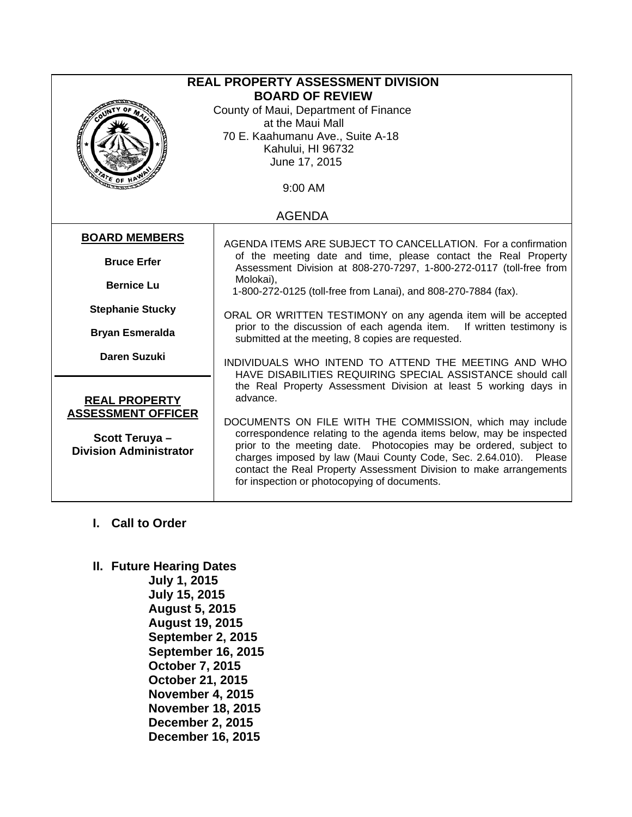| REAL PROPERTY ASSESSMENT DIVISION<br><b>BOARD OF REVIEW</b><br>County of Maui, Department of Finance |                                                                                                                                                                                                                                                                                                                                                                                                |  |
|------------------------------------------------------------------------------------------------------|------------------------------------------------------------------------------------------------------------------------------------------------------------------------------------------------------------------------------------------------------------------------------------------------------------------------------------------------------------------------------------------------|--|
|                                                                                                      | at the Maui Mall<br>70 E. Kaahumanu Ave., Suite A-18                                                                                                                                                                                                                                                                                                                                           |  |
|                                                                                                      | Kahului, HI 96732<br>June 17, 2015                                                                                                                                                                                                                                                                                                                                                             |  |
|                                                                                                      | 9:00 AM                                                                                                                                                                                                                                                                                                                                                                                        |  |
|                                                                                                      | <b>AGENDA</b>                                                                                                                                                                                                                                                                                                                                                                                  |  |
| <b>BOARD MEMBERS</b>                                                                                 | AGENDA ITEMS ARE SUBJECT TO CANCELLATION. For a confirmation                                                                                                                                                                                                                                                                                                                                   |  |
| <b>Bruce Erfer</b>                                                                                   | of the meeting date and time, please contact the Real Property<br>Assessment Division at 808-270-7297, 1-800-272-0117 (toll-free from                                                                                                                                                                                                                                                          |  |
| <b>Bernice Lu</b>                                                                                    | Molokai),<br>1-800-272-0125 (toll-free from Lanai), and 808-270-7884 (fax).                                                                                                                                                                                                                                                                                                                    |  |
| <b>Stephanie Stucky</b>                                                                              | ORAL OR WRITTEN TESTIMONY on any agenda item will be accepted                                                                                                                                                                                                                                                                                                                                  |  |
| <b>Bryan Esmeralda</b>                                                                               | prior to the discussion of each agenda item. If written testimony is<br>submitted at the meeting, 8 copies are requested.                                                                                                                                                                                                                                                                      |  |
| <b>Daren Suzuki</b>                                                                                  | INDIVIDUALS WHO INTEND TO ATTEND THE MEETING AND WHO<br>HAVE DISABILITIES REQUIRING SPECIAL ASSISTANCE should call<br>the Real Property Assessment Division at least 5 working days in                                                                                                                                                                                                         |  |
| <b>REAL PROPERTY</b>                                                                                 | advance.                                                                                                                                                                                                                                                                                                                                                                                       |  |
| <b>ASSESSMENT OFFICER</b><br>Scott Teruya-<br><b>Division Administrator</b>                          | DOCUMENTS ON FILE WITH THE COMMISSION, which may include<br>correspondence relating to the agenda items below, may be inspected<br>prior to the meeting date. Photocopies may be ordered, subject to<br>charges imposed by law (Maui County Code, Sec. 2.64.010). Please<br>contact the Real Property Assessment Division to make arrangements<br>for inspection or photocopying of documents. |  |

## **I. Call to Order**

## **II. Future Hearing Dates**

**July 1, 2015 July 15, 2015 August 5, 2015 August 19, 2015 September 2, 2015 September 16, 2015 October 7, 2015 October 21, 2015 November 4, 2015 November 18, 2015 December 2, 2015 December 16, 2015**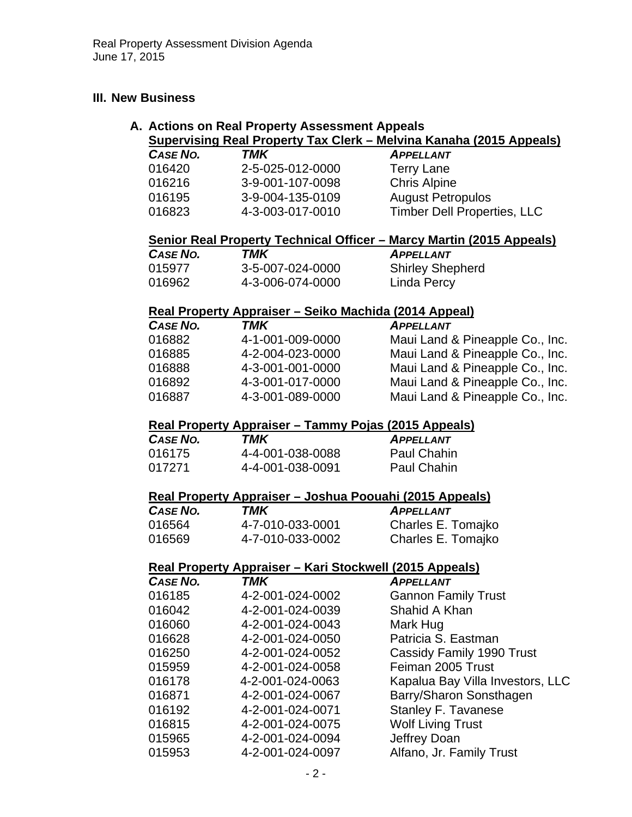### **III. New Business**

#### **A. Actions on Real Property Assessment Appeals Supervising Real Property Tax Clerk – Melvina Kanaha (2015 Appeals)**

|          | $\frac{1}{2}$    |                                    |
|----------|------------------|------------------------------------|
| CASE NO. | TMK              | <b>APPELLANT</b>                   |
| 016420   | 2-5-025-012-0000 | <b>Terry Lane</b>                  |
| 016216   | 3-9-001-107-0098 | <b>Chris Alpine</b>                |
| 016195   | 3-9-004-135-0109 | <b>August Petropulos</b>           |
| 016823   | 4-3-003-017-0010 | <b>Timber Dell Properties, LLC</b> |
|          |                  |                                    |

### **Senior Real Property Technical Officer – Marcy Martin (2015 Appeals)**

| CASE NO. | TMK              | <b>APPELLANT</b>        |
|----------|------------------|-------------------------|
| 015977   | 3-5-007-024-0000 | <b>Shirley Shepherd</b> |
| 016962   | 4-3-006-074-0000 | Linda Percy             |

#### **Real Property Appraiser – Seiko Machida (2014 Appeal)**

| CASE NO. | TMK              | <b>APPELLANT</b>                |
|----------|------------------|---------------------------------|
| 016882   | 4-1-001-009-0000 | Maui Land & Pineapple Co., Inc. |
| 016885   | 4-2-004-023-0000 | Maui Land & Pineapple Co., Inc. |
| 016888   | 4-3-001-001-0000 | Maui Land & Pineapple Co., Inc. |
| 016892   | 4-3-001-017-0000 | Maui Land & Pineapple Co., Inc. |
| 016887   | 4-3-001-089-0000 | Maui Land & Pineapple Co., Inc. |

## **Real Property Appraiser – Tammy Pojas (2015 Appeals)**

| CASE NO. | TMK              | <b>APPELLANT</b>   |
|----------|------------------|--------------------|
| 016175   | 4-4-001-038-0088 | Paul Chahin        |
| 017271   | 4-4-001-038-0091 | <b>Paul Chahin</b> |

#### **Real Property Appraiser – Joshua Poouahi (2015 Appeals)**

| CASE NO. | TMK              | <b>APPELLANT</b>   |
|----------|------------------|--------------------|
| 016564   | 4-7-010-033-0001 | Charles E. Tomajko |
| 016569   | 4-7-010-033-0002 | Charles E. Tomajko |

#### **Real Property Appraiser – Kari Stockwell (2015 Appeals)**

| <b>CASE NO.</b> | <b>TMK</b>       | <b>APPELLANT</b>                 |
|-----------------|------------------|----------------------------------|
| 016185          | 4-2-001-024-0002 | <b>Gannon Family Trust</b>       |
| 016042          | 4-2-001-024-0039 | Shahid A Khan                    |
| 016060          | 4-2-001-024-0043 | Mark Hug                         |
| 016628          | 4-2-001-024-0050 | Patricia S. Eastman              |
| 016250          | 4-2-001-024-0052 | Cassidy Family 1990 Trust        |
| 015959          | 4-2-001-024-0058 | Feiman 2005 Trust                |
| 016178          | 4-2-001-024-0063 | Kapalua Bay Villa Investors, LLC |
| 016871          | 4-2-001-024-0067 | Barry/Sharon Sonsthagen          |
| 016192          | 4-2-001-024-0071 | <b>Stanley F. Tavanese</b>       |
| 016815          | 4-2-001-024-0075 | <b>Wolf Living Trust</b>         |
| 015965          | 4-2-001-024-0094 | Jeffrey Doan                     |
| 015953          | 4-2-001-024-0097 | Alfano, Jr. Family Trust         |